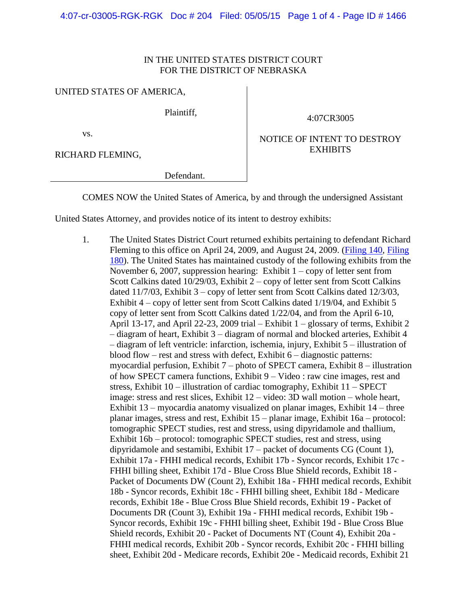## IN THE UNITED STATES DISTRICT COURT FOR THE DISTRICT OF NEBRASKA

## UNITED STATES OF AMERICA,

Plaintiff,

4:07CR3005

vs.

RICHARD FLEMING,

NOTICE OF INTENT TO DESTROY EXHIBITS

Defendant.

COMES NOW the United States of America, by and through the undersigned Assistant

United States Attorney, and provides notice of its intent to destroy exhibits:

1. The United States District Court returned exhibits pertaining to defendant Richard Fleming to this office on April 24, 2009, and August 24, 2009. [\(Filing 140,](https://ecf.ned.uscourts.gov/doc1/11311723511) [Filing](https://ecf.ned.uscourts.gov/doc1/11311816332)  [180\)](https://ecf.ned.uscourts.gov/doc1/11311816332). The United States has maintained custody of the following exhibits from the November 6, 2007, suppression hearing: Exhibit  $1 -$ copy of letter sent from Scott Calkins dated 10/29/03, Exhibit 2 – copy of letter sent from Scott Calkins dated 11/7/03, Exhibit 3 – copy of letter sent from Scott Calkins dated 12/3/03, Exhibit 4 – copy of letter sent from Scott Calkins dated 1/19/04, and Exhibit 5 copy of letter sent from Scott Calkins dated 1/22/04, and from the April 6-10, April 13-17, and April 22-23, 2009 trial – Exhibit  $1 -$  glossary of terms, Exhibit 2 – diagram of heart, Exhibit 3 – diagram of normal and blocked arteries, Exhibit 4 – diagram of left ventricle: infarction, ischemia, injury, Exhibit 5 – illustration of blood flow – rest and stress with defect, Exhibit 6 – diagnostic patterns: myocardial perfusion, Exhibit 7 – photo of SPECT camera, Exhibit 8 – illustration of how SPECT camera functions, Exhibit 9 – Video : raw cine images, rest and stress, Exhibit 10 – illustration of cardiac tomography, Exhibit 11 – SPECT image: stress and rest slices, Exhibit 12 – video: 3D wall motion – whole heart, Exhibit 13 – myocardia anatomy visualized on planar images, Exhibit 14 – three planar images, stress and rest, Exhibit 15 – planar image, Exhibit 16a – protocol: tomographic SPECT studies, rest and stress, using dipyridamole and thallium, Exhibit 16b – protocol: tomographic SPECT studies, rest and stress, using dipyridamole and sestamibi, Exhibit 17 – packet of documents CG (Count 1), Exhibit 17a - FHHI medical records, Exhibit 17b - Syncor records, Exhibit 17c - FHHI billing sheet, Exhibit 17d - Blue Cross Blue Shield records, Exhibit 18 - Packet of Documents DW (Count 2), Exhibit 18a - FHHI medical records, Exhibit 18b - Syncor records, Exhibit 18c - FHHI billing sheet, Exhibit 18d - Medicare records, Exhibit 18e - Blue Cross Blue Shield records, Exhibit 19 - Packet of Documents DR (Count 3), Exhibit 19a - FHHI medical records, Exhibit 19b - Syncor records, Exhibit 19c - FHHI billing sheet, Exhibit 19d - Blue Cross Blue Shield records, Exhibit 20 - Packet of Documents NT (Count 4), Exhibit 20a - FHHI medical records, Exhibit 20b - Syncor records, Exhibit 20c - FHHI billing sheet, Exhibit 20d - Medicare records, Exhibit 20e - Medicaid records, Exhibit 21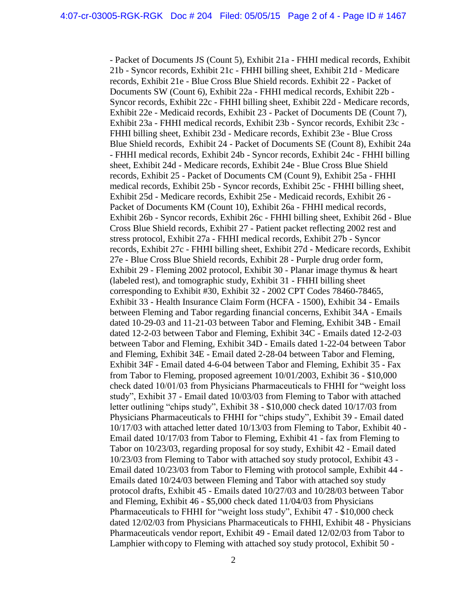- Packet of Documents JS (Count 5), Exhibit 21a - FHHI medical records, Exhibit 21b - Syncor records, Exhibit 21c - FHHI billing sheet, Exhibit 21d - Medicare records, Exhibit 21e - Blue Cross Blue Shield records. Exhibit 22 - Packet of Documents SW (Count 6), Exhibit 22a - FHHI medical records, Exhibit 22b - Syncor records, Exhibit 22c - FHHI billing sheet, Exhibit 22d - Medicare records, Exhibit 22e - Medicaid records, Exhibit 23 - Packet of Documents DE (Count 7), Exhibit 23a - FHHI medical records, Exhibit 23b - Syncor records, Exhibit 23c - FHHI billing sheet, Exhibit 23d - Medicare records, Exhibit 23e - Blue Cross Blue Shield records, Exhibit 24 - Packet of Documents SE (Count 8), Exhibit 24a - FHHI medical records, Exhibit 24b - Syncor records, Exhibit 24c - FHHI billing sheet, Exhibit 24d - Medicare records, Exhibit 24e - Blue Cross Blue Shield records, Exhibit 25 - Packet of Documents CM (Count 9), Exhibit 25a - FHHI medical records, Exhibit 25b - Syncor records, Exhibit 25c - FHHI billing sheet, Exhibit 25d - Medicare records, Exhibit 25e - Medicaid records, Exhibit 26 - Packet of Documents KM (Count 10), Exhibit 26a - FHHI medical records, Exhibit 26b - Syncor records, Exhibit 26c - FHHI billing sheet, Exhibit 26d - Blue Cross Blue Shield records, Exhibit 27 - Patient packet reflecting 2002 rest and stress protocol, Exhibit 27a - FHHI medical records, Exhibit 27b - Syncor records, Exhibit 27c - FHHI billing sheet, Exhibit 27d - Medicare records, Exhibit 27e - Blue Cross Blue Shield records, Exhibit 28 - Purple drug order form, Exhibit 29 - Fleming 2002 protocol, Exhibit 30 - Planar image thymus & heart (labeled rest), and tomographic study, Exhibit 31 - FHHI billing sheet corresponding to Exhibit #30, Exhibit 32 - 2002 CPT Codes 78460-78465, Exhibit 33 - Health Insurance Claim Form (HCFA - 1500), Exhibit 34 - Emails between Fleming and Tabor regarding financial concerns, Exhibit 34A - Emails dated 10-29-03 and 11-21-03 between Tabor and Fleming, Exhibit 34B - Email dated 12-2-03 between Tabor and Fleming, Exhibit 34C - Emails dated 12-2-03 between Tabor and Fleming, Exhibit 34D - Emails dated 1-22-04 between Tabor and Fleming, Exhibit 34E - Email dated 2-28-04 between Tabor and Fleming, Exhibit 34F - Email dated 4-6-04 between Tabor and Fleming, Exhibit 35 - Fax from Tabor to Fleming, proposed agreement 10/01/2003, Exhibit 36 - \$10,000 check dated 10/01/03 from Physicians Pharmaceuticals to FHHI for "weight loss study", Exhibit 37 - Email dated 10/03/03 from Fleming to Tabor with attached letter outlining "chips study", Exhibit 38 - \$10,000 check dated 10/17/03 from Physicians Pharmaceuticals to FHHI for "chips study", Exhibit 39 - Email dated 10/17/03 with attached letter dated 10/13/03 from Fleming to Tabor, Exhibit 40 - Email dated 10/17/03 from Tabor to Fleming, Exhibit 41 - fax from Fleming to Tabor on 10/23/03, regarding proposal for soy study, Exhibit 42 - Email dated 10/23/03 from Fleming to Tabor with attached soy study protocol, Exhibit 43 - Email dated 10/23/03 from Tabor to Fleming with protocol sample, Exhibit 44 - Emails dated 10/24/03 between Fleming and Tabor with attached soy study protocol drafts, Exhibit 45 - Emails dated 10/27/03 and 10/28/03 between Tabor and Fleming, Exhibit 46 - \$5,000 check dated 11/04/03 from Physicians Pharmaceuticals to FHHI for "weight loss study", Exhibit 47 - \$10,000 check dated 12/02/03 from Physicians Pharmaceuticals to FHHI, Exhibit 48 - Physicians Pharmaceuticals vendor report, Exhibit 49 - Email dated 12/02/03 from Tabor to Lamphier withcopy to Fleming with attached soy study protocol, Exhibit 50 -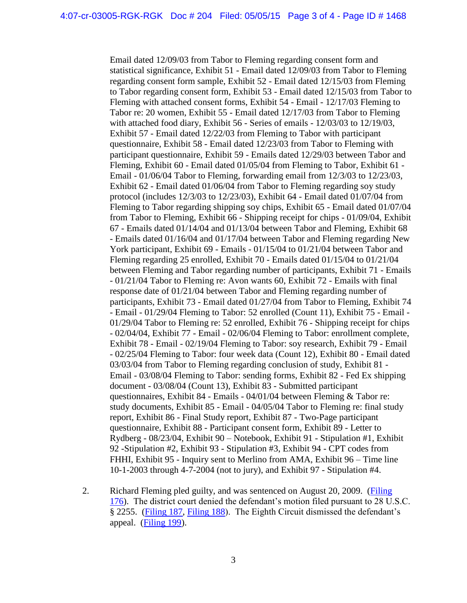Email dated 12/09/03 from Tabor to Fleming regarding consent form and statistical significance, Exhibit 51 - Email dated 12/09/03 from Tabor to Fleming regarding consent form sample, Exhibit 52 - Email dated 12/15/03 from Fleming to Tabor regarding consent form, Exhibit 53 - Email dated 12/15/03 from Tabor to Fleming with attached consent forms, Exhibit 54 - Email - 12/17/03 Fleming to Tabor re: 20 women, Exhibit 55 - Email dated 12/17/03 from Tabor to Fleming with attached food diary, Exhibit 56 - Series of emails - 12/03/03 to 12/19/03, Exhibit 57 - Email dated 12/22/03 from Fleming to Tabor with participant questionnaire, Exhibit 58 - Email dated 12/23/03 from Tabor to Fleming with participant questionnaire, Exhibit 59 - Emails dated 12/29/03 between Tabor and Fleming, Exhibit 60 - Email dated 01/05/04 from Fleming to Tabor, Exhibit 61 - Email - 01/06/04 Tabor to Fleming, forwarding email from 12/3/03 to 12/23/03, Exhibit 62 - Email dated 01/06/04 from Tabor to Fleming regarding soy study protocol (includes 12/3/03 to 12/23/03), Exhibit 64 - Email dated 01/07/04 from Fleming to Tabor regarding shipping soy chips, Exhibit 65 - Email dated 01/07/04 from Tabor to Fleming, Exhibit 66 - Shipping receipt for chips - 01/09/04, Exhibit 67 - Emails dated 01/14/04 and 01/13/04 between Tabor and Fleming, Exhibit 68 - Emails dated 01/16/04 and 01/17/04 between Tabor and Fleming regarding New York participant, Exhibit 69 - Emails - 01/15/04 to 01/21/04 between Tabor and Fleming regarding 25 enrolled, Exhibit 70 - Emails dated 01/15/04 to 01/21/04 between Fleming and Tabor regarding number of participants, Exhibit 71 - Emails - 01/21/04 Tabor to Fleming re: Avon wants 60, Exhibit 72 - Emails with final response date of 01/21/04 between Tabor and Fleming regarding number of participants, Exhibit 73 - Email dated 01/27/04 from Tabor to Fleming, Exhibit 74 - Email - 01/29/04 Fleming to Tabor: 52 enrolled (Count 11), Exhibit 75 - Email - 01/29/04 Tabor to Fleming re: 52 enrolled, Exhibit 76 - Shipping receipt for chips - 02/04/04, Exhibit 77 - Email - 02/06/04 Fleming to Tabor: enrollment complete, Exhibit 78 - Email - 02/19/04 Fleming to Tabor: soy research, Exhibit 79 - Email - 02/25/04 Fleming to Tabor: four week data (Count 12), Exhibit 80 - Email dated 03/03/04 from Tabor to Fleming regarding conclusion of study, Exhibit 81 - Email - 03/08/04 Fleming to Tabor: sending forms, Exhibit 82 - Fed Ex shipping document - 03/08/04 (Count 13), Exhibit 83 - Submitted participant questionnaires, Exhibit 84 - Emails - 04/01/04 between Fleming & Tabor re: study documents, Exhibit 85 - Email - 04/05/04 Tabor to Fleming re: final study report, Exhibit 86 - Final Study report, Exhibit 87 - Two-Page participant questionnaire, Exhibit 88 - Participant consent form, Exhibit 89 - Letter to Rydberg - 08/23/04, Exhibit 90 – Notebook, Exhibit 91 - Stipulation #1, Exhibit 92 -Stipulation #2, Exhibit 93 - Stipulation #3, Exhibit 94 - CPT codes from FHHI, Exhibit 95 - Inquiry sent to Merlino from AMA, Exhibit 96 – Time line 10-1-2003 through 4-7-2004 (not to jury), and Exhibit 97 - Stipulation #4.

2. Richard Fleming pled guilty, and was sentenced on August 20, 2009. [\(Filing](https://ecf.ned.uscourts.gov/doc1/11311815699)  [176\)](https://ecf.ned.uscourts.gov/doc1/11311815699). The district court denied the defendant's motion filed pursuant to 28 U.S.C. § 2255. [\(Filing 187,](https://ecf.ned.uscourts.gov/doc1/11311851545) [Filing 188\)](https://ecf.ned.uscourts.gov/doc1/11311851553). The Eighth Circuit dismissed the defendant's appeal. [\(Filing 199\)](https://ecf.ned.uscourts.gov/doc1/11311955144).